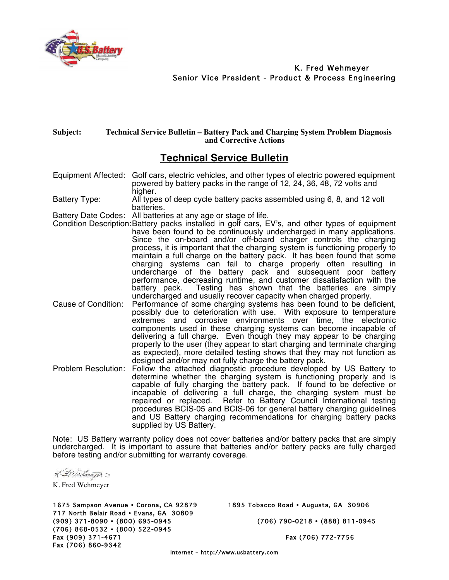

K. Fred Wehmeyer Senior Vice President - Product & Process Engineering

## **Subject: Technical Service Bulletin – Battery Pack and Charging System Problem Diagnosis and Corrective Actions**

## **Technical Service Bulletin**

Equipment Affected: Golf cars, electric vehicles, and other types of electric powered equipment powered by battery packs in the range of 12, 24, 36, 48, 72 volts and higher.

Battery Type: All types of deep cycle battery packs assembled using 6, 8, and 12 volt batteries.

Battery Date Codes: All batteries at any age or stage of life.

- Condition Description:Battery packs installed in golf cars, EV's, and other types of equipment have been found to be continuously undercharged in many applications. Since the on-board and/or off-board charger controls the charging process, it is important that the charging system is functioning properly to maintain a full charge on the battery pack. It has been found that some charging systems can fail to charge properly often resulting in undercharge of the battery pack and subsequent poor battery performance, decreasing runtime, and customer dissatisfaction with the battery pack. Testing has shown that the batteries are simply Testing has shown that the batteries are simply undercharged and usually recover capacity when charged properly.
- Cause of Condition: Performance of some charging systems has been found to be deficient, possibly due to deterioration with use. With exposure to temperature extremes and corrosive environments over time, the electronic components used in these charging systems can become incapable of delivering a full charge. Even though they may appear to be charging properly to the user (they appear to start charging and terminate charging as expected), more detailed testing shows that they may not function as designed and/or may not fully charge the battery pack.
- Problem Resolution: Follow the attached diagnostic procedure developed by US Battery to determine whether the charging system is functioning properly and is capable of fully charging the battery pack. If found to be defective or incapable of delivering a full charge, the charging system must be repaired or replaced. Refer to Battery Council International testing procedures BCIS-05 and BCIS-06 for general battery charging guidelines and US Battery charging recommendations for charging battery packs supplied by US Battery.

Note: US Battery warranty policy does not cover batteries and/or battery packs that are simply undercharged. It is important to assure that batteries and/or battery packs are fully charged before testing and/or submitting for warranty coverage.

Lileameyer

K. Fred Wehmeyer

1675 Sampson Avenue • Corona, CA 92879 1895 Tobacco Road • Augusta, GA 30906 717 North Belair Road • Evans, GA 30809 (909) 371-8090 • (800) 695-0945 (706) 790-0218 • (888) 811-0945 (706) 868-0532 • (800) 522-0945 Fax (909) 371-4671 Fax (706) 772-7756 Fax (706) 860-9342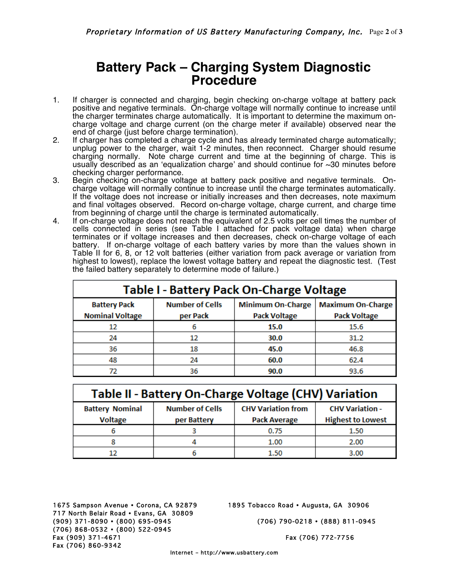## **Battery Pack – Charging System Diagnostic Procedure**

- 1. If charger is connected and charging, begin checking on-charge voltage at battery pack positive and negative terminals. On-charge voltage will normally continue to increase until the charger terminates charge automatically. It is important to determine the maximum oncharge voltage and charge current (on the charge meter if available) observed near the end of charge (just before charge termination).
- 2. If charger has completed a charge cycle and has already terminated charge automatically; unplug power to the charger, wait 1-2 minutes, then reconnect. Charger should resume charging normally. Note charge current and time at the beginning of charge. This is usually described as an ʻequalization charge' and should continue for ~30 minutes before checking charger performance.
- 3. Begin checking on-charge voltage at battery pack positive and negative terminals. Oncharge voltage will normally continue to increase until the charge terminates automatically. If the voltage does not increase or initially increases and then decreases, note maximum and final voltages observed. Record on-charge voltage, charge current, and charge time from beginning of charge until the charge is terminated automatically.
- 4. If on-charge voltage does not reach the equivalent of 2.5 volts per cell times the number of cells connected in series (see Table I attached for pack voltage data) when charge terminates or if voltage increases and then decreases, check on-charge voltage of each battery. If on-charge voltage of each battery varies by more than the values shown in Table II for 6, 8, or 12 volt batteries (either variation from pack average or variation from highest to lowest), replace the lowest voltage battery and repeat the diagnostic test. (Test the failed battery separately to determine mode of failure.)

| <b>Table I - Battery Pack On-Charge Voltage</b> |                                    |                                                 |                                                 |  |
|-------------------------------------------------|------------------------------------|-------------------------------------------------|-------------------------------------------------|--|
| <b>Battery Pack</b><br><b>Nominal Voltage</b>   | <b>Number of Cells</b><br>per Pack | <b>Minimum On-Charge</b><br><b>Pack Voltage</b> | <b>Maximum On-Charge</b><br><b>Pack Voltage</b> |  |
| 12                                              | 6                                  | 15.0                                            | 15.6                                            |  |
| 24                                              | 12                                 | 30.0                                            | 31.2                                            |  |
| 36                                              | 18                                 | 45.0                                            | 46.8                                            |  |
| 48                                              | 24                                 | 60.0                                            | 62.4                                            |  |
|                                                 | 36                                 | 90.0                                            | 93.6                                            |  |

| <b>Table II - Battery On-Charge Voltage (CHV) Variation</b> |                                       |                                                  |                                                    |  |
|-------------------------------------------------------------|---------------------------------------|--------------------------------------------------|----------------------------------------------------|--|
| <b>Battery Nominal</b><br><b>Voltage</b>                    | <b>Number of Cells</b><br>per Battery | <b>CHV Variation from</b><br><b>Pack Average</b> | <b>CHV Variation -</b><br><b>Highest to Lowest</b> |  |
|                                                             |                                       | 0.75                                             | 1.50                                               |  |
|                                                             |                                       | 1.00                                             | 2.00                                               |  |
|                                                             |                                       | 1.50                                             | 3.00                                               |  |

1675 Sampson Avenue • Corona, CA 92879 1895 Tobacco Road • Augusta, GA 30906 717 North Belair Road • Evans, GA 30809 (909) 371-8090 • (800) 695-0945 (706) 790-0218 • (888) 811-0945 (706) 868-0532 • (800) 522-0945 Fax (909) 371-4671 Fax (706) 772-7756 Fax (706) 860-9342